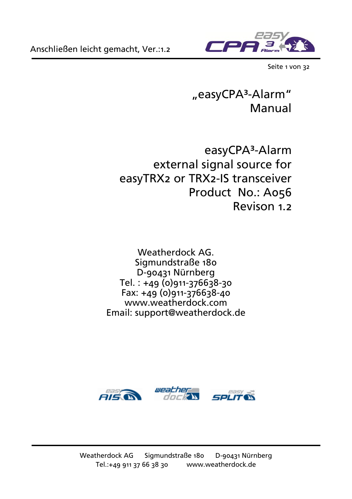

Seite 1 von 32

### "easyCPA³-Alarm" Manual

easyCPA<sup>3</sup>-Alarm external signal source for easyTRX2 or TRX2-IS transceiver Product No.: A056 Revison 1.2

Weatherdock AG. Sigmundstraße 180 D-90431 Nürnberg  $Tel.: +49 (0)911-376638-30$ Fax: +49 (0)911-376638-40 www.weatherdock.com Email: support@weatherdock.de

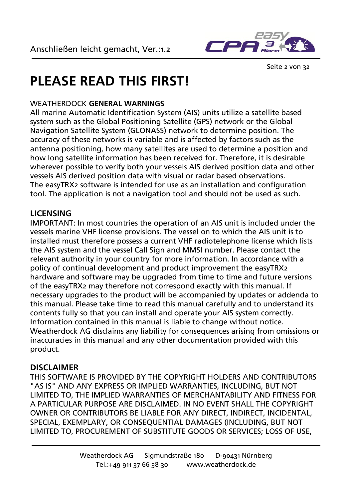

Seite 2 von 32

## **PLEASE READ THIS FIRST!**

#### WEATHERDOCK **GENERAL WARNINGS**

All marine Automatic Identification System (AIS) units utilize a satellite based system such as the Global Positioning Satellite (GPS) network or the Global Navigation Satellite System (GLONASS) network to determine position. The accuracy of these networks is variable and is affected by factors such as the antenna positioning, how many satellites are used to determine a position and how long satellite information has been received for. Therefore, it is desirable wherever possible to verify both your vessels AIS derived position data and other vessels AIS derived position data with visual or radar based observations. The easyTRX2 software is intended for use as an installation and configuration tool. The application is not a navigation tool and should not be used as such.

#### **LICENSING**

IMPORTANT: In most countries the operation of an AIS unit is included under the vessels marine VHF license provisions. The vessel on to which the AIS unit is to installed must therefore possess a current VHF radiotelephone license which lists the AIS system and the vessel Call Sign and MMSI number. Please contact the relevant authority in your country for more information. In accordance with a policy of continual development and product improvement the easyTRX2 hardware and software may be upgraded from time to time and future versions of the easyTRX2 may therefore not correspond exactly with this manual. If necessary upgrades to the product will be accompanied by updates or addenda to this manual. Please take time to read this manual carefully and to understand its contents fully so that you can install and operate your AIS system correctly. Information contained in this manual is liable to change without notice. Weatherdock AG disclaims any liability for consequences arising from omissions or inaccuracies in this manual and any other documentation provided with this product.

#### **DISCLAIMER**

THIS SOFTWARE IS PROVIDED BY THE COPYRIGHT HOLDERS AND CONTRIBUTORS "AS IS" AND ANY EXPRESS OR IMPLIED WARRANTIES, INCLUDING, BUT NOT LIMITED TO, THE IMPLIED WARRANTIES OF MERCHANTABILITY AND FITNESS FOR A PARTICULAR PURPOSE ARE DISCLAIMED. IN NO EVENT SHALL THE COPYRIGHT OWNER OR CONTRIBUTORS BE LIABLE FOR ANY DIRECT, INDIRECT, INCIDENTAL, SPECIAL, EXEMPLARY, OR CONSEQUENTIAL DAMAGES (INCLUDING, BUT NOT LIMITED TO, PROCUREMENT OF SUBSTITUTE GOODS OR SERVICES; LOSS OF USE,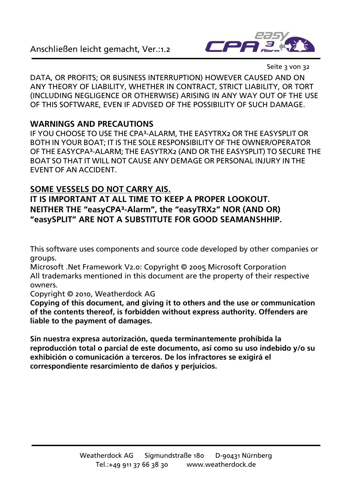

Seite 3 von 32

DATA, OR PROFITS; OR BUSINESS INTERRUPTION) HOWEVER CAUSED AND ON ANY THEORY OF LIABILITY, WHETHER IN CONTRACT, STRICT LIABILITY, OR TORT (INCLUDING NEGLIGENCE OR OTHERWISE) ARISING IN ANY WAY OUT OF THE USE OF THIS SOFTWARE, EVEN IF ADVISED OF THE POSSIBILITY OF SUCH DAMAGE.

#### **WARNINGS AND PRECAUTIONS**

IF YOU CHOOSE TO USE THE CPA³-ALARM, THE EASYTRX2 OR THE EASYSPLIT OR BOTH IN YOUR BOAT; IT IS THE SOLE RESPONSIBILITY OF THE OWNER/OPERATOR OF THE EASYCPA³-ALARM; THE EASYTRX2 (AND OR THE EASYSPLIT) TO SECURE THE BOAT SO THAT IT WILL NOT CAUSE ANY DEMAGE OR PERSONAL INJURY IN THE EVENT OF AN ACCIDENT.

#### **SOME VESSELS DO NOT CARRY AIS.**

**IT IS IMPORTANT AT ALL TIME TO KEEP A PROPER LOOKOUT. NEITHER THE "easyCPA³-Alarm", the "easyTRX2" NOR (AND OR) "easySPLIT" ARE NOT A SUBSTITUTE FOR GOOD SEAMANSHHIP.**

This software uses components and source code developed by other companies or groups.

Microsoft .Net Framework V2.0: Copyright © 2005 Microsoft Corporation All trademarks mentioned in this document are the property of their respective owners.

Copyright © 2010, Weatherdock AG

**Copying of this document, and giving it to others and the use or communication of the contents thereof, is forbidden without express authority. Offenders are liable to the payment of damages.**

**Sin nuestra expresa autorización, queda terminantemente prohibida la reproducción total o parcial de este documento, así como su uso indebido y/o su exhibición o comunicación a terceros. De los infractores se exigirá el correspondiente resarcimiento de daños y perjuicios.**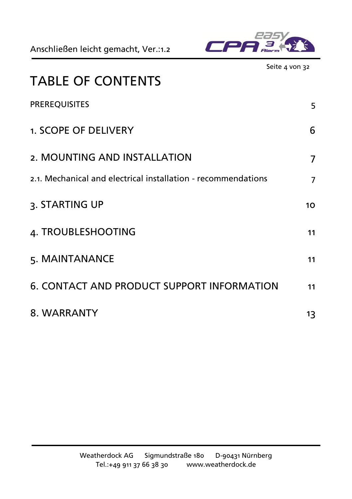

|                                                               | Seite 4 von 32 |
|---------------------------------------------------------------|----------------|
| <b>TABLE OF CONTENTS</b>                                      |                |
| <b>PREREQUISITES</b>                                          | 5              |
| 1. SCOPE OF DELIVERY                                          | 6              |
| 2. MOUNTING AND INSTALLATION                                  | 7              |
| 2.1. Mechanical and electrical installation - recommendations | $\overline{7}$ |
| 3. STARTING UP                                                | 10             |
| 4. TROUBLESHOOTING                                            | 11             |
| 5. MAINTANANCE                                                | 11             |
| <b>6. CONTACT AND PRODUCT SUPPORT INFORMATION</b>             | 11             |
| 8. WARRANTY                                                   | 13             |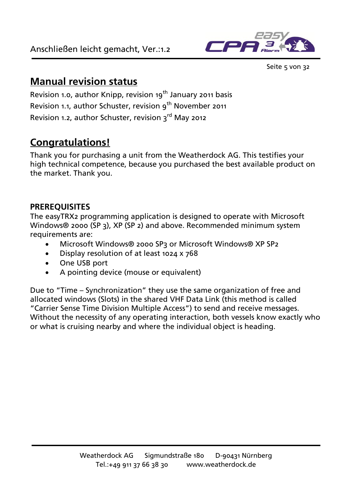

Seite 5 von 32

### **Manual revision status**

Revision 1.0, author Knipp, revision  $19<sup>th</sup>$  January 2011 basis Revision 1.1, author Schuster, revision 9<sup>th</sup> November 2011 Revision 1.2, author Schuster, revision 3<sup>rd</sup> May 2012

### **Congratulations!**

Thank you for purchasing a unit from the Weatherdock AG. This testifies your high technical competence, because you purchased the best available product on the market. Thank you.

#### <span id="page-4-0"></span>**PREREQUISITES**

The easyTRX2 programming application is designed to operate with Microsoft Windows® 2000 (SP 3), XP (SP 2) and above. Recommended minimum system requirements are:

- Microsoft Windows® 2000 SP3 or Microsoft Windows® XP SP2
- Display resolution of at least 1024 x 768
- One USB port
- A pointing device (mouse or equivalent)

Due to "Time – Synchronization" they use the same organization of free and allocated windows (Slots) in the shared VHF Data Link (this method is called "Carrier Sense Time Division Multiple Access") to send and receive messages. Without the necessity of any operating interaction, both vessels know exactly who or what is cruising nearby and where the individual object is heading.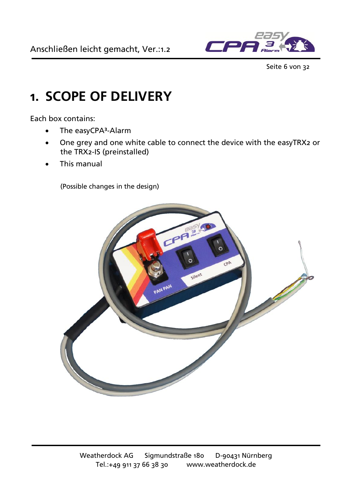

Seite 6 von 32

## <span id="page-5-0"></span>**1. SCOPE OF DELIVERY**

Each box contains:

- The easyCPA<sup>3</sup>-Alarm
- One grey and one white cable to connect the device with the easyTRX2 or the TRX2-IS (preinstalled)
- This manual

(Possible changes in the design)

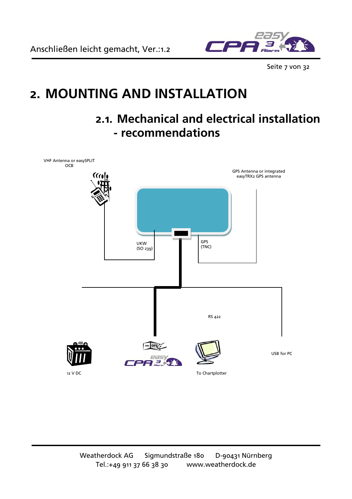Anschließen leicht gemacht, Ver.:1.2



Seite 7 von 32

## <span id="page-6-0"></span>**2. MOUNTING AND INSTALLATION**

### <span id="page-6-1"></span>**2.1. Mechanical and electrical installation - recommendations**

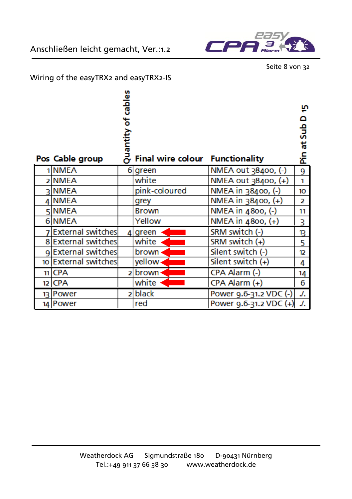



Seite 8 von 32

#### Wiring of the easyTRX2 and easyTRX2-IS

|                          | cables<br>ъ<br>Quantity |                                        |                        | 'n<br>۵<br>ទី<br>ť. |
|--------------------------|-------------------------|----------------------------------------|------------------------|---------------------|
| Pos Cable group          |                         | <b>Final wire colour Functionality</b> |                        | 운                   |
| 1 NMEA                   |                         | 6 green                                | NMEA out 38400, (-)    | 9                   |
| 2 NMEA                   |                         | white                                  | NMEA out 38400, (+)    | 1                   |
| ุา∣NMEA                  |                         | pink-coloured                          | NMEA in 38400, (-)     | 10                  |
| 4 NMEA                   |                         | grey                                   | NMEA in 38400, (+)     | $\overline{2}$      |
| 5 NMEA                   |                         | <b>Brown</b>                           | NMEA in 4800, (-)      | 11                  |
| 6 NMEA                   |                         | Yellow                                 | NMEA in 4800, (+)      | 3                   |
| <b>External switches</b> |                         | 4 green                                | SRM switch (-)         | В                   |
| 8 External switches      |                         | white                                  | SRM switch (+)         | 5                   |
| 9 External switches      |                         | brown                                  | Silent switch (-)      | 12                  |
| 10 External switches     |                         | yellow-                                | Silent switch $(+)$    | 4                   |
| $11$ CPA                 | 2                       | brown                                  | CPA Alarm (-)          | 14                  |
| 12 CPA                   |                         | white                                  | CPA Alarm (+)          | 6                   |
| 13 Power                 | 21                      | black                                  | Power 9.6-31.2 VDC (-) | J.                  |
| 14 Power                 |                         | red                                    | Power 9.6-31.2 VDC (+) | ./.                 |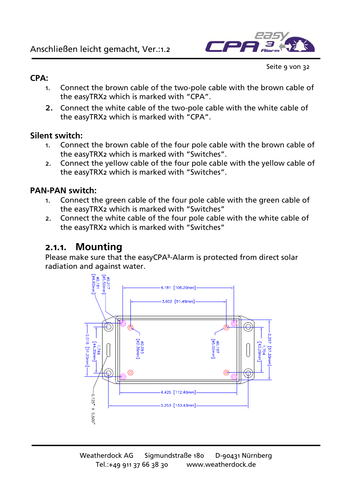

Seite 9 von 32

#### **CPA:**

- 1. Connect the brown cable of the two-pole cable with the brown cable of the easyTRX2 which is marked with "CPA".
- 2. Connect the white cable of the two-pole cable with the white cable of the easyTRX2 which is marked with "CPA".

#### **Silent switch:**

- 1. Connect the brown cable of the four pole cable with the brown cable of the easyTRX2 which is marked with "Switches".
- 2. Connect the yellow cable of the four pole cable with the yellow cable of the easyTRX2 which is marked with "Switches".

#### **PAN-PAN switch:**

- 1. Connect the green cable of the four pole cable with the green cable of the easyTRX2 which is marked with "Switches"
- 2. Connect the white cable of the four pole cable with the white cable of the easyTRX2 which is marked with "Switches"

### **2.1.1. Mounting**

Please make sure that the easyCPA<sup>3</sup>-Alarm is protected from direct solar

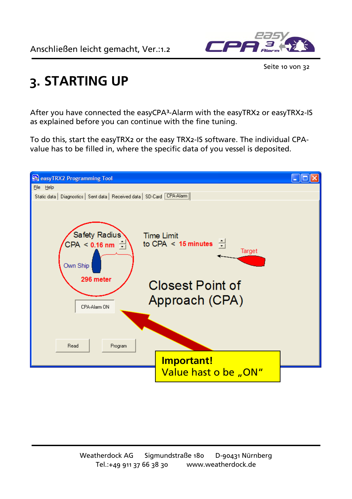

Seite 10 von 32

## <span id="page-9-0"></span>**3. STARTING UP**

After you have connected the easyCPA³-Alarm with the easyTRX2 or easyTRX2-IS as explained before you can continue with the fine tuning.

To do this, start the easyTRX2 or the easy TRX2-IS software. The individual CPAvalue has to be filled in, where the specific data of you vessel is deposited.

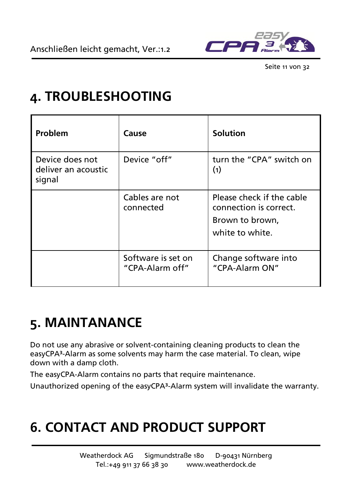

Seite 11 von 32

## <span id="page-10-0"></span>**4. TROUBLESHOOTING**

| Problem                                          | Cause                                 | <b>Solution</b>                                                                           |
|--------------------------------------------------|---------------------------------------|-------------------------------------------------------------------------------------------|
| Device does not<br>deliver an acoustic<br>signal | Device "off"                          | turn the "CPA" switch on<br>(1)                                                           |
|                                                  | Cables are not<br>connected           | Please check if the cable<br>connection is correct.<br>Brown to brown,<br>white to white. |
|                                                  | Software is set on<br>"CPA-Alarm off" | Change software into<br>"CPA-Alarm ON"                                                    |

## <span id="page-10-1"></span>**5. MAINTANANCE**

Do not use any abrasive or solvent-containing cleaning products to clean the easyCPA<sup>3</sup>-Alarm as some solvents may harm the case material. To clean, wipe down with a damp cloth.

The easyCPA-Alarm contains no parts that require maintenance.

Unauthorized opening of the easyCPA<sup>3</sup>-Alarm system will invalidate the warranty.

## <span id="page-10-2"></span>**6. CONTACT AND PRODUCT SUPPORT**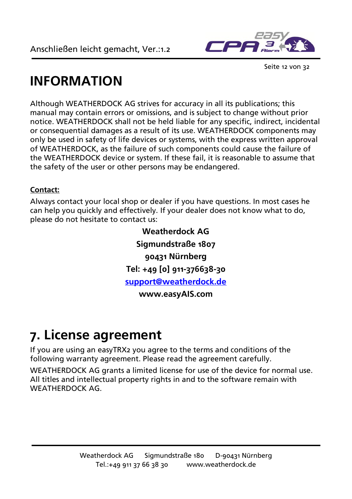

Seite 12 von 32

## **INFORMATION**

Although WEATHERDOCK AG strives for accuracy in all its publications; this manual may contain errors or omissions, and is subject to change without prior notice. WEATHERDOCK shall not be held liable for any specific, indirect, incidental or consequential damages as a result of its use. WEATHERDOCK components may only be used in safety of life devices or systems, with the express written approval of WEATHERDOCK, as the failure of such components could cause the failure of the WEATHERDOCK device or system. If these fail, it is reasonable to assume that the safety of the user or other persons may be endangered.

#### **Contact:**

Always contact your local shop or dealer if you have questions. In most cases he can help you quickly and effectively. If your dealer does not know what to do, please do not hesitate to contact us:

> **Weatherdock AG Sigmundstraße 1807 90431 Nürnberg Tel: +49 [0] 911-376638-30 [support@weatherdock.de](mailto:support@weatherdock.de) www.easyAIS.com**

## **7. License agreement**

If you are using an easyTRX2 you agree to the terms and conditions of the following warranty agreement. Please read the agreement carefully.

WEATHERDOCK AG grants a limited license for use of the device for normal use. All titles and intellectual property rights in and to the software remain with WEATHERDOCK AG.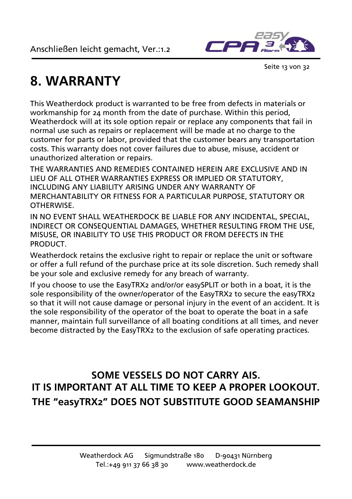

Seite 13 von 32

## <span id="page-12-0"></span>**8. WARRANTY**

This Weatherdock product is warranted to be free from defects in materials or workmanship for 24 month from the date of purchase. Within this period, Weatherdock will at its sole option repair or replace any components that fail in normal use such as repairs or replacement will be made at no charge to the customer for parts or labor, provided that the customer bears any transportation costs. This warranty does not cover failures due to abuse, misuse, accident or unauthorized alteration or repairs.

THE WARRANTIES AND REMEDIES CONTAINED HEREIN ARE EXCLUSIVE AND IN LIEU OF ALL OTHER WARRANTIES EXPRESS OR IMPLIED OR STATUTORY, INCLUDING ANY LIABILITY ARISING UNDER ANY WARRANTY OF MERCHANTABILITY OR FITNESS FOR A PARTICULAR PURPOSE, STATUTORY OR **OTHERWISE** 

IN NO EVENT SHALL WEATHERDOCK BE LIABLE FOR ANY INCIDENTAL, SPECIAL, INDIRECT OR CONSEQUENTIAL DAMAGES, WHETHER RESULTING FROM THE USE, MISUSE, OR INABILITY TO USE THIS PRODUCT OR FROM DEFECTS IN THE **PRODUCT.** 

Weatherdock retains the exclusive right to repair or replace the unit or software or offer a full refund of the purchase price at its sole discretion. Such remedy shall be your sole and exclusive remedy for any breach of warranty.

If you choose to use the EasyTRX2 and/or/or easySPLIT or both in a boat, it is the sole responsibility of the owner/operator of the EasyTRX2 to secure the easyTRX2 so that it will not cause damage or personal injury in the event of an accident. It is the sole responsibility of the operator of the boat to operate the boat in a safe manner, maintain full surveillance of all boating conditions at all times, and never become distracted by the EasyTRX2 to the exclusion of safe operating practices.

### **SOME VESSELS DO NOT CARRY AIS. IT IS IMPORTANT AT ALL TIME TO KEEP A PROPER LOOKOUT. THE "easyTRX2" DOES NOT SUBSTITUTE GOOD SEAMANSHIP**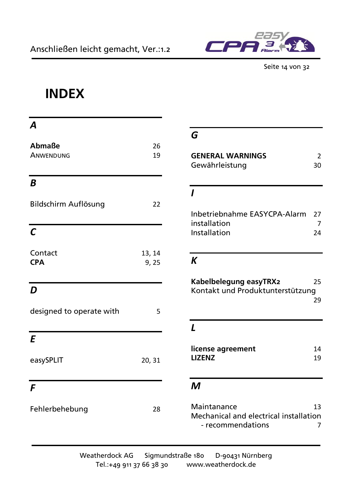

#### Seite 14 von 32

## **INDEX**

| A                        |                |  |
|--------------------------|----------------|--|
| Abmaße<br>ANWENDUNG      | 26<br>19       |  |
| B                        |                |  |
| Bildschirm Auflösung     | 22             |  |
| $\mathcal{C}$            |                |  |
| Contact<br><b>CPA</b>    | 13, 14<br>9,25 |  |
| D                        |                |  |
| designed to operate with | 5              |  |
| $\mathbf{E}$             |                |  |
| easySPLIT                | 20, 31         |  |
| F                        |                |  |
| Fehlerbehebung           | 28             |  |

### *G*

| <b>GENERAL WARNINGS</b> |    |
|-------------------------|----|
| Gewährleistung          | 30 |

### *I*

| Inbetriebnahme EASYCPA-Alarm | - 27 |
|------------------------------|------|
| installation                 |      |
| Installation                 | 24   |

### *K*

| Kabelbelegung easyTRX2           | 25 |
|----------------------------------|----|
| Kontakt und Produktunterstützung |    |
|                                  | 29 |

#### *L*

| license agreement | 14 |
|-------------------|----|
| <b>LIZENZ</b>     | 19 |

#### *M*

Maintanance 13 Mechanical and electrical installation - recommendations 7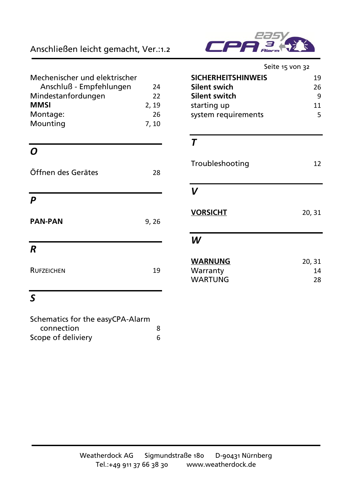#### Anschließen leicht gemacht, Ver.:1.2

| Mechenischer und elektrischer |       |
|-------------------------------|-------|
| Anschluß - Empfehlungen       | 24    |
| Mindestanfordungen            | 22    |
| <b>MMSI</b>                   | 2, 19 |
| Montage:                      | 26    |
| Mounting                      | 7, 10 |

### *O*

| Öffnen des Gerätes | 28    |
|--------------------|-------|
| P                  |       |
| <b>PAN-PAN</b>     | 9, 26 |
| R                  |       |
| <b>RUFZEICHEN</b>  | 19    |

| <b>Alarm</b> |
|--------------|

| <b>SICHERHEITSHINWEIS</b><br>19<br>Silent swich<br>26<br><b>Silent switch</b><br>q<br>starting up<br>11<br>system requirements<br>5 | Seite 15 von 32 |  |
|-------------------------------------------------------------------------------------------------------------------------------------|-----------------|--|
|                                                                                                                                     |                 |  |
|                                                                                                                                     |                 |  |
|                                                                                                                                     |                 |  |
|                                                                                                                                     |                 |  |
|                                                                                                                                     |                 |  |

### *T*

| Troubleshooting                       | 12           |
|---------------------------------------|--------------|
| V                                     |              |
| <b>VORSICHT</b>                       | 20, 31       |
| W                                     |              |
| <b>WARNUNG</b><br>Warranty<br>WARTUNG | 20, 31<br>14 |
|                                       | 28           |

### *S*

| Schematics for the easyCPA-Alarm |   |
|----------------------------------|---|
| connection                       | 8 |
| Scope of deliviery               | 6 |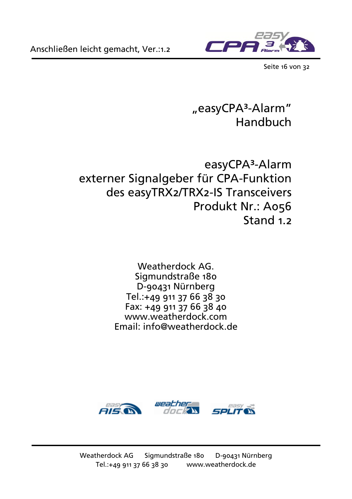

Seite 16 von 32

### "easyCPA<sup>3</sup>-Alarm" Handbuch

### easyCPA<sup>3</sup>-Alarm externer Signalgeber für CPA-Funktion des easyTRX2/TRX2-IS Transceivers Produkt Nr.: A056 Stand 1.2

Weatherdock AG. Sigmundstraße 180 D-90431 Nürnberg Tel.:+49 911 37 66 38 30 Fax: +49 911 37 66 38 40 www.weatherdock.com Email: info@weatherdock.de

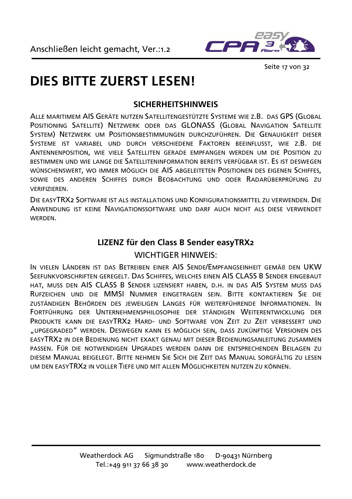

Seite 17 von 32

## **DIES BITTE ZUERST LESEN!**

#### **SICHERHEITSHINWEIS**

ALLE MARITIMEM AIS GERÄTE NUTZEN SATELLITENGESTÜTZTE SYSTEME WIE Z.B. DAS GPS (GLOBAL POSITIONING SATELLITE) NETZWERK ODER DAS GLONASS (GLOBAL NAVIGATION SATELLITE SYSTEM) NETZWERK UM POSITIONSBESTIMMUNGEN DURCHZUFÜHREN. DIE GENAUIGKEIT DIESER SYSTEME IST VARIABEL UND DURCH VERSCHIEDENE FAKTOREN BEEINFLUSST, WIE Z.B. DIE ANTENNENPOSITION, WIE VIELE SATELLITEN GERADE EMPFANGEN WERDEN UM DIE POSITION ZU BESTIMMEN UND WIE LANGE DIE SATELLITENINFORMATION BEREITS VERFÜGBAR IST. ES IST DESWEGEN WÜNSCHENSWERT, WO IMMER MÖGLICH DIE AIS ABGELEITETEN POSITIONEN DES EIGENEN SCHIFFES, SOWIE DES ANDEREN SCHIFFES DURCH BEOBACHTUNG UND ODER RADARÜBERPRÜFUNG ZU VERIFIZIEREN.

DIE EASYTRX2 SOFTWARE IST ALS INSTALLATIONS UND KONFIGURATIONSMITTEL ZU VERWENDEN. DIE ANWENDUNG IST KEINE NAVIGATIONSSOFTWARE UND DARF AUCH NICHT ALS DIESE VERWENDET **WERDEN** 

### **LIZENZ für den Class B Sender easyTRX2** WICHTIGER HINWEIS:

IN VIELEN LÄNDERN IST DAS BETREIBEN EINER AIS SENDE/EMPFANGSEINHEIT GEMÄß DEN UKW SEEFUNKVORSCHRIFTEN GEREGELT. DAS SCHIFFES, WELCHES EINEN AIS CLASS B SENDER EINGEBAUT HAT, MUSS DEN AIS CLASS B SENDER LIZENSIERT HABEN, D.H. IN DAS AIS SYSTEM MUSS DAS RUFZEICHEN UND DIE MMSI NUMMER EINGETRAGEN SEIN. BITTE KONTAKTIEREN SIE DIE ZUSTÄNDIGEN BEHÖRDEN DES JEWEILIGEN LANGES FÜR WEITERFÜHRENDE INFORMATIONEN. IN FORTFÜHRUNG DER UNTERNEHMENSPHILOSOPHIE DER STÄNDIGEN WEITERENTWICKLUNG DER PRODUKTE KANN DIE EASYTRX2 HARD- UND SOFTWARE VON ZEIT ZU ZEIT VERBESSERT UND "UPGEGRADED" WERDEN. DESWEGEN KANN ES MÖGLICH SEIN, DASS ZUKÜNFTIGE VERSIONEN DES EASYTRX2 IN DER BEDIENUNG NICHT EXAKT GENAU MIT DIESER BEDIENUNGSANLEITUNG ZUSAMMEN PASSEN. FÜR DIE NOTWENDIGEN UPGRADES WERDEN DANN DIE ENTSPRECHENDEN BEILAGEN ZU DIESEM MANUAL BEIGELEGT. BITTE NEHMEN SIE SICH DIE ZEIT DAS MANUAL SORGFÄLTIG ZU LESEN UM DEN EASYTRX2 IN VOLLER TIEFE UND MIT ALLEN MÖGLICHKEITEN NUTZEN ZU KÖNNEN.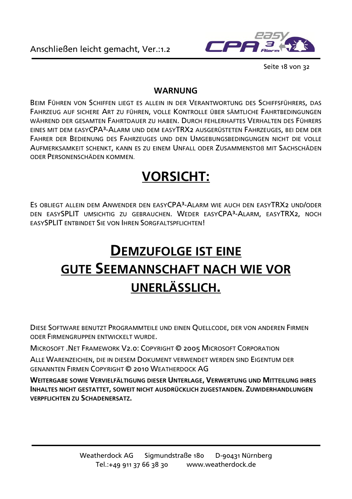

Seite 18 von 32

#### **WARNUNG**

BEIM FÜHREN VON SCHIFFEN LIEGT ES ALLEIN IN DER VERANTWORTUNG DES SCHIFFSFÜHRERS, DAS FAHRZEUG AUF SICHERE ART ZU FÜHREN, VOLLE KONTROLLE ÜBER SÄMTLICHE FAHRTBEDINGUNGEN WÄHREND DER GESAMTEN FAHRTDAUER ZU HABEN. DURCH FEHLERHAFTES VERHALTEN DES FÜHRERS EINES MIT DEM EASYCPA³-ALARM UND DEM EASYTRX2 AUSGERÜSTETEN FAHRZEUGES, BEI DEM DER FAHRER DER BEDIENUNG DES FAHRZEUGES UND DEN UMGEBUNGSBEDINGUNGEN NICHT DIE VOLLE AUFMERKSAMKEIT SCHENKT, KANN ES ZU EINEM UNFALL ODER ZUSAMMENSTOß MIT SACHSCHÄDEN ODER PERSONENSCHÄDEN KOMMEN.

## **VORSICHT:**

ES OBLIEGT ALLEIN DEM ANWENDER DEN EASYCPA<sup>3</sup>-ALARM WIE AUCH DEN EASYTRX2 UND/ODER DEN EASYSPLIT UMSICHTIG ZU GEBRAUCHEN. WEDER EASYCPA<sup>3</sup>-ALARM, EASYTRX2, NOCH EASYSPLIT ENTBINDET SIE VON IHREN SORGFALTSPFLICHTEN!

## **DEMZUFOLGE IST EINE GUTE SEEMANNSCHAFT NACH WIE VOR UNERLÄSSLICH.**

DIESE SOFTWARE BENUTZT PROGRAMMTEILE UND EINEN QUELLCODE, DER VON ANDEREN FIRMEN ODER FIRMENGRUPPEN ENTWICKELT WURDE.

MICROSOFT .NET FRAMEWORK V2.0: COPYRIGHT © 2005 MICROSOFT CORPORATION

ALLE WARENZEICHEN, DIE IN DIESEM DOKUMENT VERWENDET WERDEN SIND EIGENTUM DER GENANNTEN FIRMEN COPYRIGHT © 2010 WEATHERDOCK AG

**WEITERGABE SOWIE VERVIELFÄLTIGUNG DIESER UNTERLAGE, VERWERTUNG UND MITTEILUNG IHRES INHALTES NICHT GESTATTET, SOWEIT NICHT AUSDRÜCKLICH ZUGESTANDEN. ZUWIDERHANDLUNGEN VERPFLICHTEN ZU SCHADENERSATZ.**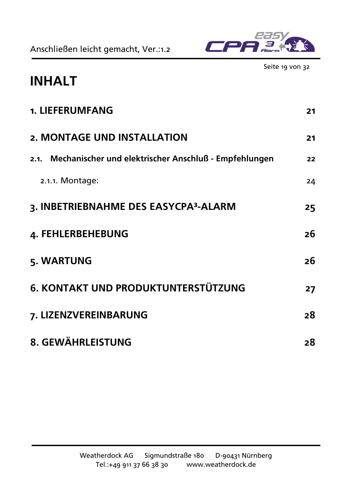Anschließen leicht gemacht, Ver.:1.2



Seite 19 von 32

## **INHALT**

| 1. LIEFERUMFANG                                            | 21 |
|------------------------------------------------------------|----|
| 2. MONTAGE UND INSTALLATION                                | 21 |
| 2.1. Mechanischer und elektrischer Anschluß - Empfehlungen | 22 |
| 2.1.1. Montage:                                            | 24 |
| 3. INBETRIEBNAHME DES EASYCPA <sup>3</sup> -ALARM          | 25 |
| 4. FEHLERBEHEBUNG                                          | 26 |
| 5. WARTUNG                                                 | 26 |
| <b>6. KONTAKT UND PRODUKTUNTERSTÜTZUNG</b>                 | 27 |
| 7. LIZENZVEREINBARUNG                                      | 28 |
| 8. GEWÄHRLEISTUNG                                          | 28 |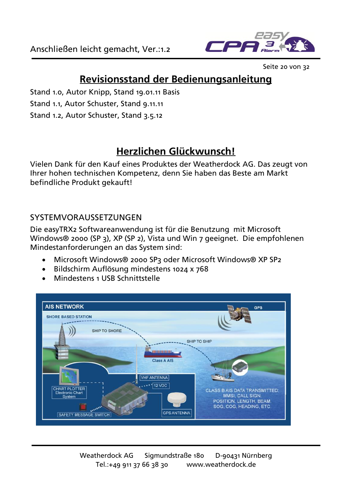

Seite 20 von 32

### **Revisionsstand der Bedienungsanleitung**

- Stand 1.0, Autor Knipp, Stand 19.01.11 Basis
- Stand 1.1, Autor Schuster, Stand 9.11.11
- Stand 1.2, Autor Schuster, Stand 3.5.12

### **Herzlichen Glückwunsch!**

Vielen Dank für den Kauf eines Produktes der Weatherdock AG. Das zeugt von Ihrer hohen technischen Kompetenz, denn Sie haben das Beste am Markt befindliche Produkt gekauft!

#### SYSTEMVORAUSSETZUNGEN

Die easyTRX2 Softwareanwendung ist für die Benutzung mit Microsoft Windows® 2000 (SP 3), XP (SP 2), Vista und Win 7 geeignet. Die empfohlenen Mindestanforderungen an das System sind:

- Microsoft Windows® 2000 SP3 oder Microsoft Windows® XP SP2
- Bildschirm Auflösung mindestens 1024 x 768
- **Mindestens 1 USB Schnittstelle**

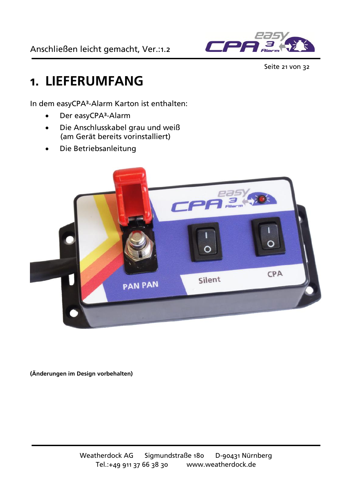

Seite 21 von 32

## <span id="page-20-0"></span>**1. LIEFERUMFANG**

In dem easyCPA<sup>3</sup>-Alarm Karton ist enthalten:

- Der easyCPA<sup>3</sup>-Alarm
- Die Anschlusskabel grau und weiß (am Gerät bereits vorinstalliert)
- Die Betriebsanleitung



<span id="page-20-1"></span>**(Änderungen im Design vorbehalten)**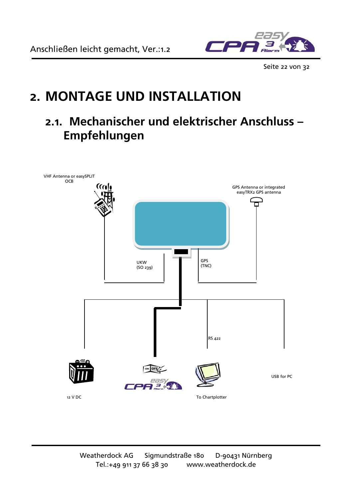

Seite 22 von 32

## **2. MONTAGE UND INSTALLATION**

### <span id="page-21-0"></span>**2.1. Mechanischer und elektrischer Anschluss – Empfehlungen**

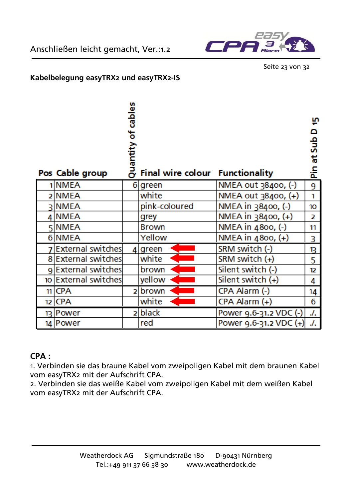



Seite 23 von 32

#### **Kabelbelegung easyTRX2 und easyTRX2-IS**

| Pos Cable group          | cables<br>ზ<br>Quantity | <b>Final wire colour Functionality</b> |                        | φ<br>o<br>ទី<br>ť.<br>운 |
|--------------------------|-------------------------|----------------------------------------|------------------------|-------------------------|
| 1 NMEA                   |                         | 6 green                                | NMEA out 38400, (-)    | 9                       |
| 2 NMEA                   |                         | white                                  | NMEA out 38400, (+)    | 1                       |
| ่ ุ NMEA                 |                         | pink-coloured                          | NMEA in 38400, (-)     | 10                      |
| 4 NMEA                   |                         | grey                                   | NMEA in 38400, (+)     | $\overline{2}$          |
| 5 NMEA                   |                         | <b>Brown</b>                           | NMEA in 4800, (-)      | 11                      |
| 6 NMEA                   |                         | Yellow                                 | NMEA in 4800, (+)      | 3                       |
| <b>External switches</b> |                         | 4 green                                | SRM switch (-)         | В                       |
| 8 External switches      |                         | white                                  | SRM switch (+)         | 5                       |
| 9External switches       |                         | brown                                  | Silent switch (-)      | 12                      |
| 10 External switches     |                         | yellow                                 | Silent switch $(+)$    | 4                       |
| $11$ CPA                 | Þ                       | brown                                  | CPA Alarm (-)          | 14                      |
| 12 CPA                   |                         | white                                  | CPA Alarm (+)          | 6                       |
| 13 Power                 | $\overline{ }$          | black                                  | Power 9.6-31.2 VDC (-) | J.                      |
| 14 Power                 |                         | red                                    | Power 9.6-31.2 VDC (+) | J.                      |

#### **CPA :**

1. Verbinden sie das braune Kabel vom zweipoligen Kabel mit dem braunen Kabel vom easyTRX2 mit der Aufschrift CPA.

2. Verbinden sie das weiße Kabel vom zweipoligen Kabel mit dem weißen Kabel vom easyTRX2 mit der Aufschrift CPA.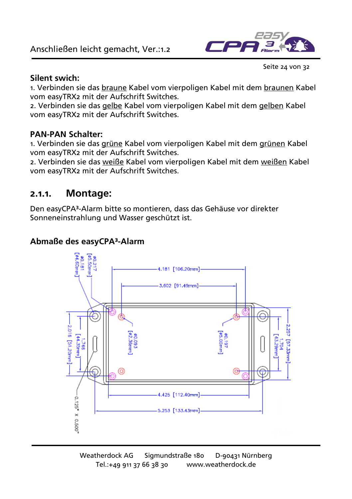#### Anschließen leicht gemacht, Ver.:1.2



Seite 24 von 32

#### **Silent swich:**

1. Verbinden sie das braune Kabel vom vierpoligen Kabel mit dem braunen Kabel vom easyTRX2 mit der Aufschrift Switches.

2. Verbinden sie das gelbe Kabel vom vierpoligen Kabel mit dem gelben Kabel vom easyTRX2 mit der Aufschrift Switches.

#### **PAN-PAN Schalter:**

1. Verbinden sie das grüne Kabel vom vierpoligen Kabel mit dem grünen Kabel vom easyTRX2 mit der Aufschrift Switches.

2. Verbinden sie das weiße Kabel vom vierpoligen Kabel mit dem weißen Kabel vom easyTRX2 mit der Aufschrift Switches.

#### <span id="page-23-0"></span>**2.1.1. Montage:**

Den easyCPA³-Alarm bitte so montieren, dass das Gehäuse vor direkter Sonneneinstrahlung und Wasser geschützt ist.

#### **Abmaße des easyCPA³-Alarm**

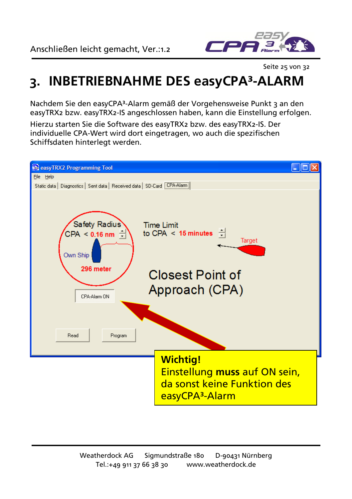

Seite 25 von 32

## <span id="page-24-0"></span>**3. INBETRIEBNAHME DES easyCPA³-ALARM**

Nachdem Sie den easyCPA³-Alarm gemäß der Vorgehensweise Punkt 3 an den easyTRX2 bzw. easyTRX2-IS angeschlossen haben, kann die Einstellung erfolgen.

Hierzu starten Sie die Software des easyTRX2 bzw. des easyTRX2-IS. Der individuelle CPA-Wert wird dort eingetragen, wo auch die spezifischen Schiffsdaten hinterlegt werden.

<span id="page-24-1"></span>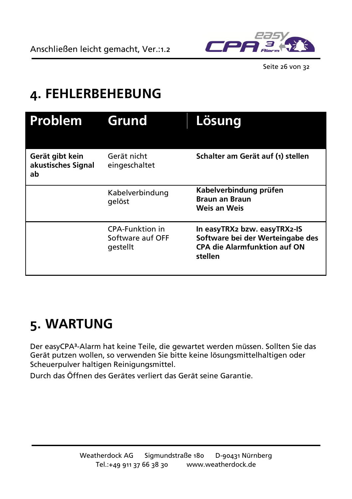

Seite 26 von 32

## **4. FEHLERBEHEBUNG**

| Problem                                     | Grund                                           | <u>Lösung</u>                                                                                                      |
|---------------------------------------------|-------------------------------------------------|--------------------------------------------------------------------------------------------------------------------|
| Gerät gibt kein<br>akustisches Signal<br>ab | Gerät nicht<br>eingeschaltet                    | Schalter am Gerät auf (1) stellen                                                                                  |
|                                             | Kabelverbindung<br>gelöst                       | Kabelverbindung prüfen<br><b>Braun an Braun</b><br>Weis an Weis                                                    |
|                                             | CPA-Funktion in<br>Software auf OFF<br>gestellt | In easyTRX2 bzw. easyTRX2-IS<br>Software bei der Werteingabe des<br><b>CPA die Alarmfunktion auf ON</b><br>stellen |

## <span id="page-25-0"></span>**5. WARTUNG**

Der easyCPA³-Alarm hat keine Teile, die gewartet werden müssen. Sollten Sie das Gerät putzen wollen, so verwenden Sie bitte keine lösungsmittelhaltigen oder Scheuerpulver haltigen Reinigungsmittel.

<span id="page-25-1"></span>Durch das Öffnen des Gerätes verliert das Gerät seine Garantie.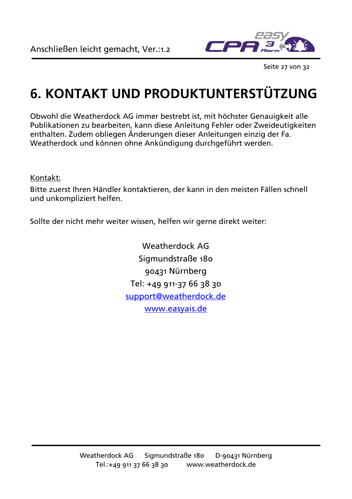

Seite 27 von 32

## **6. KONTAKT UND PRODUKTUNTERSTÜTZUNG**

Obwohl die Weatherdock AG immer bestrebt ist, mit höchster Genauigkeit alle Publikationen zu bearbeiten, kann diese Anleitung Fehler oder Zweideutigkeiten enthalten. Zudem obliegen Änderungen dieser Anleitungen einzig der Fa. Weatherdock und können ohne Ankündigung durchgeführt werden.

#### Kontakt:

Bitte zuerst Ihren Händler kontaktieren, der kann in den meisten Fällen schnell und unkompliziert helfen.

<span id="page-26-0"></span>Sollte der nicht mehr weiter wissen, helfen wir gerne direkt weiter:

Weatherdock AG Sigmundstraße 180 90431 Nürnberg Tel: +49 911-37 66 38 30 [support@weatherdock.de](mailto:support@weatherdock.de) [www.easyais.de](http://www.easyais.de/)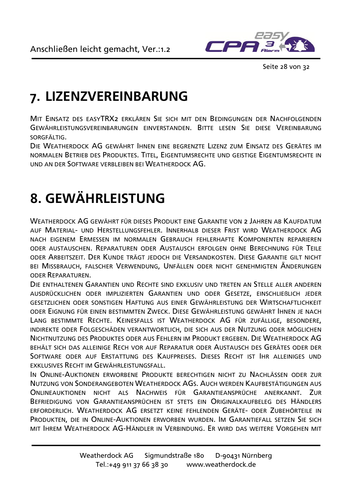

Seite 28 von 32

## **7. LIZENZVEREINBARUNG**

MIT EINSATZ DES EASYTRX2 ERKLÄREN SIE SICH MIT DEN BEDINGUNGEN DER NACHFOLGENDEN GEWÄHRLEISTUNGSVEREINBARUNGEN EINVERSTANDEN. BITTE LESEN SIE DIESE VEREINBARUNG SORGFÄLTIG.

DIE WEATHERDOCK AG GEWÄHRT IHNEN EINE BEGRENZTE LIZENZ ZUM EINSATZ DES GERÄTES IM NORMALEN BETRIEB DES PRODUKTES. TITEL, EIGENTUMSRECHTE UND GEISTIGE EIGENTUMSRECHTE IN UND AN DER SOFTWARE VERBLEIBEN BEI WEATHERDOCK AG.

## <span id="page-27-0"></span>**8. GEWÄHRLEISTUNG**

WEATHERDOCK AG GEWÄHRT FÜR DIESES PRODUKT EINE GARANTIE VON 2 JAHREN AR KAUFDATUM AUF MATERIAL- UND HERSTELLUNGSFEHLER. INNERHALB DIESER FRIST WIRD WEATHERDOCK AG NACH EIGENEM ERMESSEN IM NORMALEN GEBRAUCH FEHLERHAFTE KOMPONENTEN REPARIEREN ODER AUSTAUSCHEN. REPARATUREN ODER AUSTAUSCH ERFOLGEN OHNE BERECHNUNG FÜR TEILE ODER ARBEITSZEIT. DER KUNDE TRÄGT JEDOCH DIE VERSANDKOSTEN. DIESE GARANTIE GILT NICHT BEI MISSBRAUCH, FALSCHER VERWENDUNG, UNFÄLLEN ODER NICHT GENEHMIGTEN ÄNDERUNGEN ODER REPARATUREN.

DIE ENTHALTENEN GARANTIEN UND RECHTE SIND EXKLUSIV UND TRETEN AN STELLE ALLER ANDEREN AUSDRÜCKLICHEN ODER IMPLIZIERTEN GARANTIEN UND ODER GESETZE, EINSCHLIEßLICH JEDER GESETZLICHEN ODER SONSTIGEN HAFTUNG AUS EINER GEWÄHRLEISTUNG DER WIRTSCHAFTLICHKEIT ODER EIGNUNG FÜR EINEN BESTIMMTEN ZWECK. DIESE GEWÄHRLEISTUNG GEWÄHRT IHNEN JE NACH LANG BESTIMMTE RECHTE. KEINESFALLS IST WEATHERDOCK AG FÜR ZUFÄLLIGE, BESONDERE, INDIREKTE ODER FOLGESCHÄDEN VERANTWORTLICH, DIE SICH AUS DER NUTZUNG ODER MÖGLICHEN NICHTNUTZUNG DES PRODUKTES ODER AUS FEHLERN IM PRODUKT ERGEBEN. DIE WEATHERDOCK AG BEHÄLT SICH DAS ALLEINIGE RECH VOR AUF REPARATUR ODER AUSTAUSCH DES GERÄTES ODER DER SOFTWARE ODER AUF ERSTATTUNG DES KAUFPREISES. DIESES RECHT IST IHR ALLEINIGES UND EXKLUSIVES RECHT IM GEWÄHRLEISTUNGSFALL

IN ONLINE-AUKTIONEN ERWORBENE PRODUKTE BERECHTIGEN NICHT ZU NACHLÄSSEN ODER ZUR NUTZUNG VON SONDERANGEBOTEN WEATHERDOCK AGS. AUCH WERDEN KAUFBESTÄTIGUNGEN AUS ONLINEAUKTIONEN NICHT ALS NACHWEIS FÜR GARANTIEANSPRÜCHE ANERKANNT. ZUR BEFRIEDIGUNG VON GARANTIEANSPRÜCHEN IST STETS EIN ORIGINALKAUFBELEG DES HÄNDLERS ERFORDERLICH. WEATHERDOCK AG ERSETZT KEINE FEHLENDEN GERÄTE- ODER ZUBEHÖRTEILE IN PRODUKTEN, DIE IN ONLINE-AUKTIONEN ERWORBEN WURDEN. IM GARANTIEFALL SETZEN SIE SICH MIT IHREM WEATHERDOCK AG-HÄNDLER IN VERBINDUNG. ER WIRD DAS WEITERE VORGEHEN MIT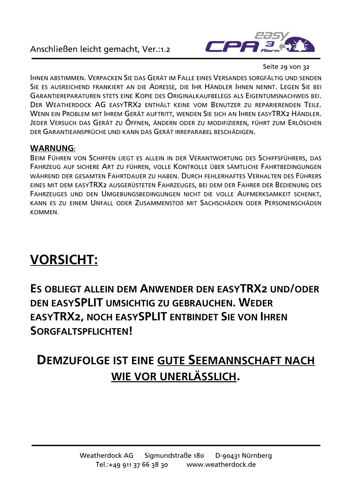

Seite 29 von 32

IHNEN ABSTIMMEN. VERPACKEN SIE DAS GERÄT IM FALLE EINES VERSANDES SORGFÄLTIG UND SENDEN SIE ES AUSREICHEND FRANKIERT AN DIE ADRESSE, DIE IHR HÄNDLER IHNEN NENNT. LEGEN SIE BEI GARANTIEREPARATUREN STETS EINE KOPIE DES ORIGINALKAUFBELEGS ALS EIGENTUMSNACHWEIS BEI. DER WEATHERDOCK AG EASYTRX2 ENTHÄLT KEINE VOM BENUTZER ZU REPARIERENDEN TEILE. WENN EIN PROBLEM MIT IHREM GERÄT AUFTRITT, WENDEN SIE SICH AN IHREN EASYTRX2 HÄNDLER. JEDER VERSUCH DAS GERÄT ZU ÖFFNEN, ÄNDERN ODER ZU MODIFIZIEREN, FÜHRT ZUM ERLÖSCHEN DER GARANTIEANSPRÜCHE UND KANN DAS GERÄT IRREPARABEL BESCHÄDIGEN.

#### **WARNUNG:**

BEIM FÜHREN VON SCHIFFEN LIEGT ES ALLEIN IN DER VERANTWORTUNG DES SCHIFFSFÜHRERS, DAS FAHRZEUG AUF SICHERE ART ZU FÜHREN, VOLLE KONTROLLE ÜBER SÄMTLICHE FAHRTBEDINGUNGEN WÄHREND DER GESAMTEN FAHRTDAUER ZU HABEN. DURCH FEHLERHAFTES VERHALTEN DES FÜHRERS EINES MIT DEM EASYTRX2 AUSGERÜSTETEN FAHRZEUGES, BEI DEM DER FAHRER DER BEDIENUNG DES FAHRZEUGES UND DEN UMGEBUNGSBEDINGUNGEN NICHT DIE VOLLE AUFMERKSAMKEIT SCHENKT, KANN ES ZU EINEM UNFALL ODER ZUSAMMENSTOß MIT SACHSCHÄDEN ODER PERSONENSCHÄDEN **KOMMEN** 

## **VORSICHT:**

**ES OBLIEGT ALLEIN DEM ANWENDER DEN EASYTRX2 UND/ODER DEN EASYSPLIT UMSICHTIG ZU GEBRAUCHEN. WEDER EASYTRX2, NOCH EASYSPLIT ENTBINDET SIE VON IHREN SORGFALTSPFLICHTEN!**

## **DEMZUFOLGE IST EINE GUTE SEEMANNSCHAFT NACH WIE VOR UNERLÄSSLICH.**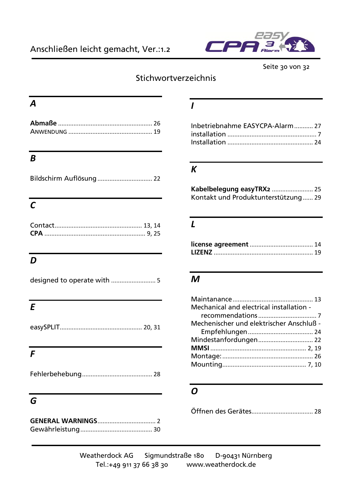

Seite 30 von 32

### **Stichwortverzeichnis**

#### *A*

### *B*

| Bildschirm Auflösung  22 |
|--------------------------|
|--------------------------|

### *C*

### $\overline{D}$

|--|--|--|--|--|--|

### *E*

#### *F*

### *G*

#### *I*

| Inbetriebnahme EASYCPA-Alarm 27 |  |
|---------------------------------|--|
|                                 |  |
|                                 |  |

#### *K*

| Kontakt und Produktunterstützung 29 |  |
|-------------------------------------|--|

#### *L*

#### *M*

| Mechanical and electrical installation - |  |
|------------------------------------------|--|
|                                          |  |
| Mechenischer und elektrischer Anschluß - |  |
|                                          |  |
| Mindestanfordungen 22                    |  |
|                                          |  |
|                                          |  |
|                                          |  |

### *O*

Öffnen des Gerätes.................................... 28

Weatherdock AG Sigmundstraße 180 D-90431 Nürnberg Tel.:+49 911 37 66 38 30 www.weatherdock.de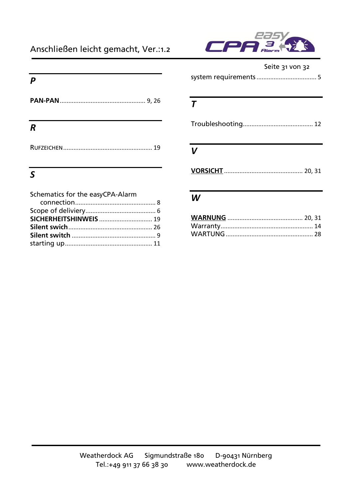#### Anschließen leicht gemacht, Ver.:1.2



# re

#### Seite 31 von 32

|--|--|

#### *P*

| R |  |
|---|--|
|   |  |

### *S*

| Schematics for the easyCPA-Alarm |  |
|----------------------------------|--|
|                                  |  |
|                                  |  |
|                                  |  |
|                                  |  |
|                                  |  |
|                                  |  |

#### *T*

|--|--|

#### *V*

**VORSICHT** .............................................. 20, 31

#### *W*